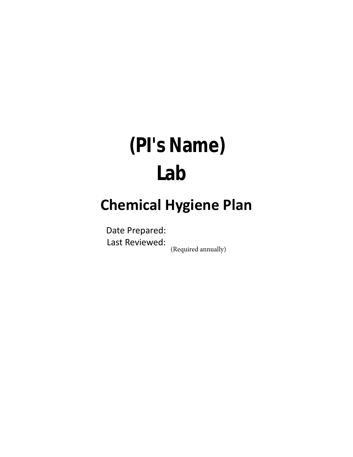# **(PI's Name) Lab**

## **Chemical Hygiene Plan**

Date Prepared: Last Reviewed:

(Required annually)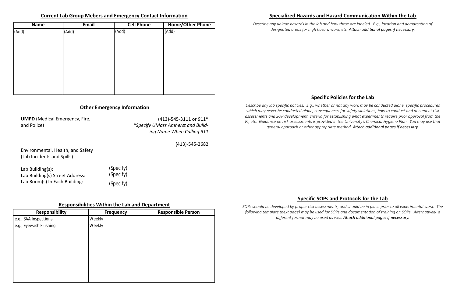### **Specific Policies for the Lab**

### **Specific SOPs and Protocols for the Lab**

### **Other Emergency Information**

### **Responsibilities Within the Lab and Department**

**UMPD** (Medical Emergency, Fire, and Police)

Environmental, Health, and Safety (Lab Incidents and Spills)

(413)-545-3111 or 911\* *\*Specify UMass Amherst and Building Name When Calling 911*

(413)-545-2682

*Describe any unique hazards in the lab and how these are labeled. E.g., location and demarcation of designated areas for high hazard work, etc. Attach additional pages if necessary.*

| <b>Name</b> | Email | <b>Cell Phone</b> | <b>Home/Other Phone</b> |
|-------------|-------|-------------------|-------------------------|
| (Add)       | (Add) | (Add)             | (Add)                   |
|             |       |                   |                         |
|             |       |                   |                         |
|             |       |                   |                         |
|             |       |                   |                         |
|             |       |                   |                         |
|             |       |                   |                         |
|             |       |                   |                         |
|             |       |                   |                         |
|             |       |                   |                         |

| Responsibility         | <b>Frequency</b> | <b>Responsible Person</b> |
|------------------------|------------------|---------------------------|
| e.g., SAA Inspections  | Weekly           |                           |
| e.g., Eyewash Flushing | Weekly           |                           |
|                        |                  |                           |
|                        |                  |                           |
|                        |                  |                           |
|                        |                  |                           |
|                        |                  |                           |
|                        |                  |                           |
|                        |                  |                           |
|                        |                  |                           |

### **Current Lab Group Mebers and Emergency Contact Information Specialized Hazards and Hazard Communication Within the Lab**

Lab Building(s): Lab Building(s) Street Address: Lab Room(s) In Each Building: (Specify) (Specify) (Specify)

*Describe any lab specific policies. E.g., whether or not any work may be conducted alone, specific procedures which may never be conducted alone, consequences for safety violations, how to conduct and document risk assessments and SOP development, criteria for establishing what experiments require prior approval from the PI, etc. Guidance on risk assessments is provided in the University's Chemical Hygiene Plan. You may use that general approach or other appropriate method. Attach additional pages if necessary.*

*SOPs should be developed by proper risk assessments, and should be in place prior to all experimental work. The following template (next page) may be used for SOPs and documentation of training on SOPs. Alternatively, a different format may be used as well. Attach additional pages if necessary.*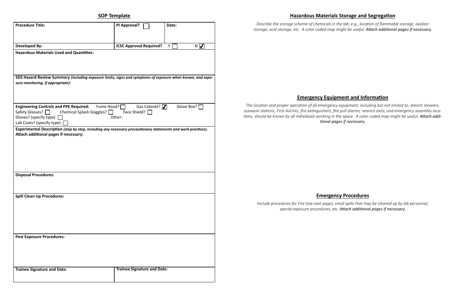**SOP Template**

| <b>Procedure Title:</b>                                                                                                                                                                                                                    | PI Approval?                       | Date:    |  |  |
|--------------------------------------------------------------------------------------------------------------------------------------------------------------------------------------------------------------------------------------------|------------------------------------|----------|--|--|
|                                                                                                                                                                                                                                            |                                    |          |  |  |
| <b>Developed By:</b>                                                                                                                                                                                                                       | <b>ICSC Approval Required?</b>     | N V<br>Y |  |  |
| <b>Hazardous Materials Used and Quantities:</b>                                                                                                                                                                                            |                                    |          |  |  |
| SDS Hazard Review Summary (including exposure limits, signs and symptoms of exposure when known, and expo-<br>sure monitoring, if appropriate):                                                                                            |                                    |          |  |  |
| Engineering Controls and PPE Required: Fume Hood?<br>Glove Box? [<br>Gas Cabinet? $\nabla$<br>Safety Glasses? □<br>Chemical Splash Goggles?<br>Face Shield? $\Box$<br>Gloves? (specify type) $\Box$<br>Other:<br>Lab Coats? (specify type) |                                    |          |  |  |
| Experimental Description (step by step, including any necessary precautionary statements and work practices).<br>Attach additional pages if necessary:                                                                                     |                                    |          |  |  |
| <b>Disposal Procedures:</b>                                                                                                                                                                                                                |                                    |          |  |  |
| <b>Spill Clean Up Procedures:</b>                                                                                                                                                                                                          |                                    |          |  |  |
| <b>Post Exposure Procedures:</b>                                                                                                                                                                                                           |                                    |          |  |  |
| <b>Trainee Signature and Date:</b>                                                                                                                                                                                                         | <b>Trainee Signature and Date:</b> |          |  |  |

### **Hazardous Materials Storage and Segregation**

### **Emergency Equipment and Information**

### **Emergency Procedures**

*Describe the storage scheme of chemicals in the lab: e.g., location of flammable storage, oxidizer storage, acid storage, etc. A color coded map might be useful. Attach additional pages if necessary.*

*The location and proper operation of all emergency equipment, including but not limited to: drench showers, eyewash stations, First Aid kits, fire extinguishers, fire pull alarms, nearest exits, and emergency assembly locations, should be known by all individuals working in the space. A color coded map might be useful. Attach additional pages if necessary.*

*Include procedures for Fire (see next page), small spills that may be cleaned up by lab personnel, special exposure procedures, etc. Attach additional pages if necessary.*